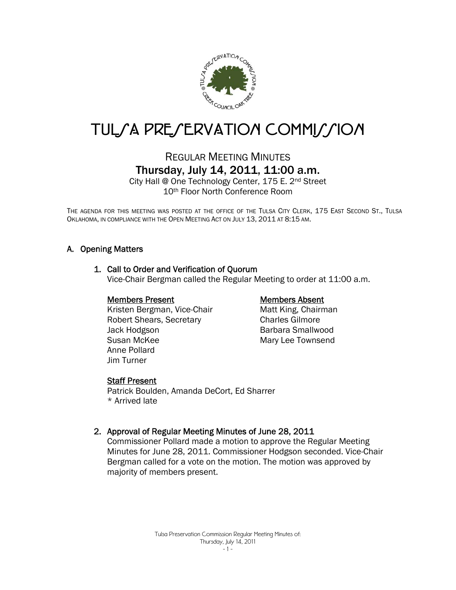

# TUL/A PRE/ERVATION COMMI//ION

# REGULAR MEETING MINUTES Thursday, July 14, 2011, 11:00 a.m.

City Hall @ One Technology Center, 175 E. 2nd Street 10th Floor North Conference Room

THE AGENDA FOR THIS MEETING WAS POSTED AT THE OFFICE OF THE TULSA CITY CLERK, 175 EAST SECOND ST., TULSA OKLAHOMA, IN COMPLIANCE WITH THE OPEN MEETING ACT ON JULY 13, 2011 AT 8:15 AM.

# A. Opening Matters

#### 1. Call to Order and Verification of Quorum

Vice-Chair Bergman called the Regular Meeting to order at 11:00 a.m.

#### Members Present

 Kristen Bergman, Vice-Chair Robert Shears, Secretary Jack Hodgson Susan McKee Anne Pollard Jim Turner

#### Members Absent

Matt King, Chairman Charles Gilmore Barbara Smallwood Mary Lee Townsend

#### **Staff Present**

Patrick Boulden, Amanda DeCort, Ed Sharrer \* Arrived late

#### 2. Approval of Regular Meeting Minutes of June 28, 2011

Commissioner Pollard made a motion to approve the Regular Meeting Minutes for June 28, 2011. Commissioner Hodgson seconded. Vice-Chair Bergman called for a vote on the motion. The motion was approved by majority of members present.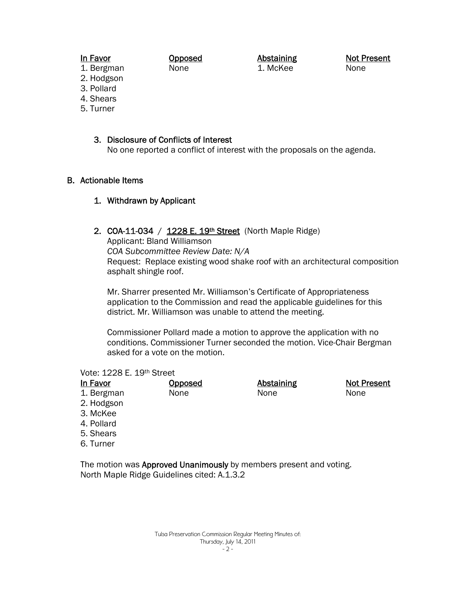### In Favor

Opposed None

Abstaining 1. McKee

Not Present None

- 1. Bergman 2. Hodgson
- 3. Pollard
- 4. Shears
- 5. Turner

# 3. Disclosure of Conflicts of Interest

No one reported a conflict of interest with the proposals on the agenda.

### B. Actionable Items

# 1. Withdrawn by Applicant

# 2. COA-11-034 /  $1228 E. 19<sup>th</sup> Street (North Maple Ridge)$

Applicant: Bland Williamson *COA Subcommittee Review Date: N/A*  Request: Replace existing wood shake roof with an architectural composition asphalt shingle roof.

Mr. Sharrer presented Mr. Williamson's Certificate of Appropriateness application to the Commission and read the applicable guidelines for this district. Mr. Williamson was unable to attend the meeting.

Commissioner Pollard made a motion to approve the application with no conditions. Commissioner Turner seconded the motion. Vice-Chair Bergman asked for a vote on the motion.

#### Vote: 1228 E. 19th Street

| <u>Opposed</u> | <b>Abstaining</b> | <b>Not Present</b> |
|----------------|-------------------|--------------------|
| None           | None              | None               |
|                |                   |                    |
|                |                   |                    |
|                |                   |                    |
|                |                   |                    |
|                |                   |                    |
|                |                   |                    |
|                |                   |                    |

The motion was Approved Unanimously by members present and voting. North Maple Ridge Guidelines cited: A.1.3.2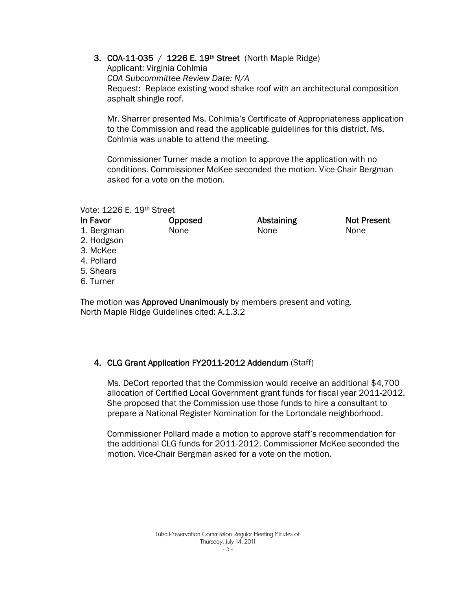3. COA-11-035 /  $1226 E. 19<sup>th</sup> Street$  (North Maple Ridge)

Applicant: Virginia Cohlmia *COA Subcommittee Review Date: N/A*  Request: Replace existing wood shake roof with an architectural composition asphalt shingle roof.

Mr. Sharrer presented Ms. Cohlmia's Certificate of Appropriateness application to the Commission and read the applicable guidelines for this district. Ms. Cohlmia was unable to attend the meeting.

Commissioner Turner made a motion to approve the application with no conditions. Commissioner McKee seconded the motion. Vice-Chair Bergman asked for a vote on the motion.

#### Vote: 1226 E. 19th Street

#### In Favor 1. Bergman 2. Hodgson 3. McKee 4. Pollard 5. Shears 6. Turner **Opposed** None Abstaining None Not Present None

The motion was **Approved Unanimously** by members present and voting. North Maple Ridge Guidelines cited: A.1.3.2

# 4. CLG Grant Application FY2011-2012 Addendum (Staff)

Ms. DeCort reported that the Commission would receive an additional \$4,700 allocation of Certified Local Government grant funds for fiscal year 2011-2012. She proposed that the Commission use those funds to hire a consultant to prepare a National Register Nomination for the Lortondale neighborhood.

Commissioner Pollard made a motion to approve staff's recommendation for the additional CLG funds for 2011-2012. Commissioner McKee seconded the motion. Vice-Chair Bergman asked for a vote on the motion.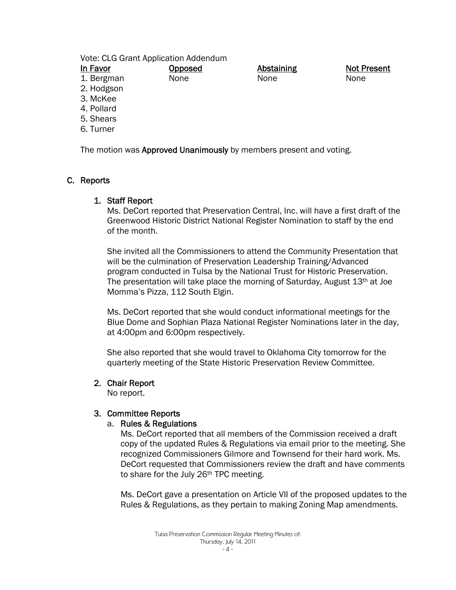#### Vote: CLG Grant Application Addendum

None

In Favor Opposed

1. Bergman

- 2. Hodgson
- 3. McKee
- 4. Pollard
- 5. Shears
- 6. Turner

The motion was **Approved Unanimously** by members present and voting.

# C. Reports

# 1. Staff Report

Ms. DeCort reported that Preservation Central, Inc. will have a first draft of the Greenwood Historic District National Register Nomination to staff by the end of the month.

Abstaining None

Not Present

None

She invited all the Commissioners to attend the Community Presentation that will be the culmination of Preservation Leadership Training/Advanced program conducted in Tulsa by the National Trust for Historic Preservation. The presentation will take place the morning of Saturday, August 13th at Joe Momma's Pizza, 112 South Elgin.

Ms. DeCort reported that she would conduct informational meetings for the Blue Dome and Sophian Plaza National Register Nominations later in the day, at 4:00pm and 6:00pm respectively.

She also reported that she would travel to Oklahoma City tomorrow for the quarterly meeting of the State Historic Preservation Review Committee.

# 2. Chair Report

No report.

# 3. Committee Reports

# a. Rules & Regulations

Ms. DeCort reported that all members of the Commission received a draft copy of the updated Rules & Regulations via email prior to the meeting. She recognized Commissioners Gilmore and Townsend for their hard work. Ms. DeCort requested that Commissioners review the draft and have comments to share for the July 26<sup>th</sup> TPC meeting.

Ms. DeCort gave a presentation on Article VII of the proposed updates to the Rules & Regulations, as they pertain to making Zoning Map amendments.